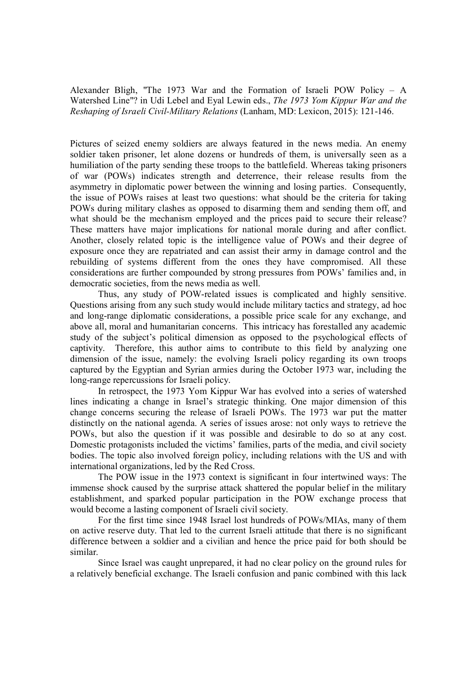Alexander Bligh, "The 1973 War and the Formation of Israeli POW Policy – A Watershed Line"? in Udi Lebel and Eyal Lewin eds., *The 1973 Yom Kippur War and the Reshaping of Israeli Civil-Military Relations* (Lanham, MD: Lexicon, 2015): 121-146.

Pictures of seized enemy soldiers are always featured in the news media. An enemy soldier taken prisoner, let alone dozens or hundreds of them, is universally seen as a humiliation of the party sending these troops to the battlefield. Whereas taking prisoners of war (POWs) indicates strength and deterrence, their release results from the asymmetry in diplomatic power between the winning and losing parties. Consequently, the issue of POWs raises at least two questions: what should be the criteria for taking POWs during military clashes as opposed to disarming them and sending them off, and what should be the mechanism employed and the prices paid to secure their release? These matters have major implications for national morale during and after conflict. Another, closely related topic is the intelligence value of POWs and their degree of exposure once they are repatriated and can assist their army in damage control and the rebuilding of systems different from the ones they have compromised. All these considerations are further compounded by strong pressures from POWs' families and, in democratic societies, from the news media as well.

Thus, any study of POW-related issues is complicated and highly sensitive. Questions arising from any such study would include military tactics and strategy, ad hoc and long-range diplomatic considerations, a possible price scale for any exchange, and above all, moral and humanitarian concerns. This intricacy has forestalled any academic study of the subject's political dimension as opposed to the psychological effects of captivity. Therefore, this author aims to contribute to this field by analyzing one dimension of the issue, namely: the evolving Israeli policy regarding its own troops captured by the Egyptian and Syrian armies during the October 1973 war, including the long-range repercussions for Israeli policy.

In retrospect, the 1973 Yom Kippur War has evolved into a series of watershed lines indicating a change in Israel's strategic thinking. One major dimension of this change concerns securing the release of Israeli POWs. The 1973 war put the matter distinctly on the national agenda. A series of issues arose: not only ways to retrieve the POWs, but also the question if it was possible and desirable to do so at any cost. Domestic protagonists included the victims' families, parts of the media, and civil society bodies. The topic also involved foreign policy, including relations with the US and with international organizations, led by the Red Cross.

The POW issue in the 1973 context is significant in four intertwined ways: The immense shock caused by the surprise attack shattered the popular belief in the military establishment, and sparked popular participation in the POW exchange process that would become a lasting component of Israeli civil society.

For the first time since 1948 Israel lost hundreds of POWs/MIAs, many of them on active reserve duty. That led to the current Israeli attitude that there is no significant difference between a soldier and a civilian and hence the price paid for both should be similar.

Since Israel was caught unprepared, it had no clear policy on the ground rules for a relatively beneficial exchange. The Israeli confusion and panic combined with this lack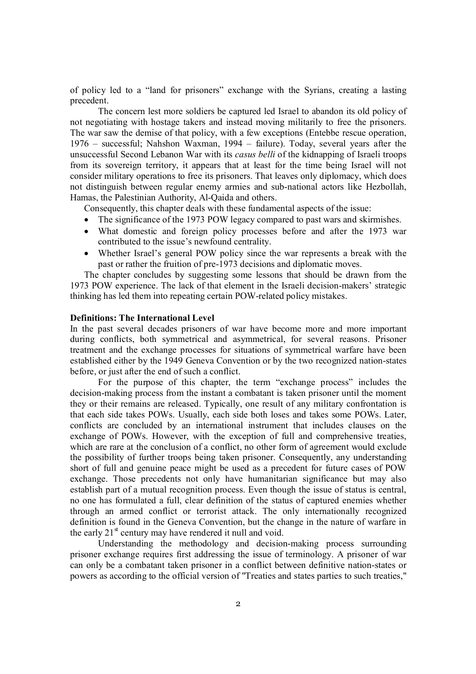of policy led to a "land for prisoners" exchange with the Syrians, creating a lasting precedent.

The concern lest more soldiers be captured led Israel to abandon its old policy of not negotiating with hostage takers and instead moving militarily to free the prisoners. The war saw the demise of that policy, with a few exceptions (Entebbe rescue operation, 1976 – successful; Nahshon Waxman, 1994 – failure). Today, several years after the unsuccessful Second Lebanon War with its *casus belli* of the kidnapping of Israeli troops from its sovereign territory, it appears that at least for the time being Israel will not consider military operations to free its prisoners. That leaves only diplomacy, which does not distinguish between regular enemy armies and sub-national actors like Hezbollah, Hamas, the Palestinian Authority, Al-Qaida and others.

Consequently, this chapter deals with these fundamental aspects of the issue:

- The significance of the 1973 POW legacy compared to past wars and skirmishes.
- What domestic and foreign policy processes before and after the 1973 war contributed to the issue's newfound centrality.
- Whether Israel's general POW policy since the war represents a break with the past or rather the fruition of pre-1973 decisions and diplomatic moves.

The chapter concludes by suggesting some lessons that should be drawn from the 1973 POW experience. The lack of that element in the Israeli decision-makers' strategic thinking has led them into repeating certain POW-related policy mistakes.

#### **Definitions: The International Level**

In the past several decades prisoners of war have become more and more important during conflicts, both symmetrical and asymmetrical, for several reasons. Prisoner treatment and the exchange processes for situations of symmetrical warfare have been established either by the 1949 Geneva Convention or by the two recognized nation-states before, or just after the end of such a conflict.

For the purpose of this chapter, the term "exchange process" includes the decision-making process from the instant a combatant is taken prisoner until the moment they or their remains are released. Typically, one result of any military confrontation is that each side takes POWs. Usually, each side both loses and takes some POWs. Later, conflicts are concluded by an international instrument that includes clauses on the exchange of POWs. However, with the exception of full and comprehensive treaties, which are rare at the conclusion of a conflict, no other form of agreement would exclude the possibility of further troops being taken prisoner. Consequently, any understanding short of full and genuine peace might be used as a precedent for future cases of POW exchange. Those precedents not only have humanitarian significance but may also establish part of a mutual recognition process. Even though the issue of status is central, no one has formulated a full, clear definition of the status of captured enemies whether through an armed conflict or terrorist attack. The only internationally recognized definition is found in the Geneva Convention, but the change in the nature of warfare in the early  $21<sup>st</sup>$  century may have rendered it null and void.

Understanding the methodology and decision-making process surrounding prisoner exchange requires first addressing the issue of terminology. A prisoner of war can only be a combatant taken prisoner in a conflict between definitive nation-states or powers as according to the official version of "Treaties and states parties to such treaties,"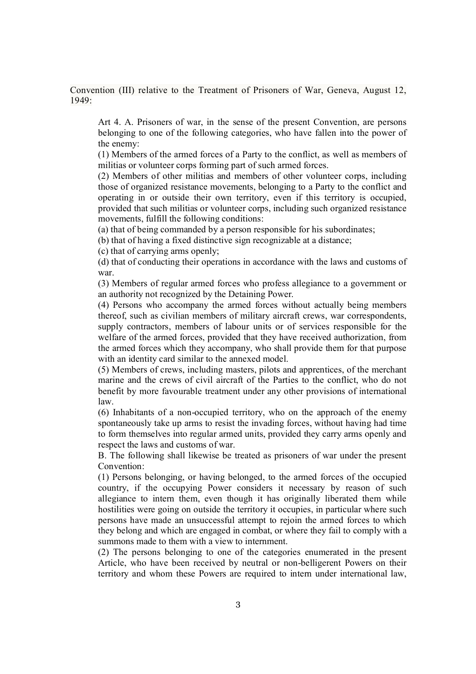Convention (III) relative to the Treatment of Prisoners of War, Geneva, August 12, 1949:

Art 4. A. Prisoners of war, in the sense of the present Convention, are persons belonging to one of the following categories, who have fallen into the power of the enemy:

(1) Members of the armed forces of a Party to the conflict, as well as members of militias or volunteer corps forming part of such armed forces.

(2) Members of other militias and members of other volunteer corps, including those of organized resistance movements, belonging to a Party to the conflict and operating in or outside their own territory, even if this territory is occupied, provided that such militias or volunteer corps, including such organized resistance movements, fulfill the following conditions:

(a) that of being commanded by a person responsible for his subordinates;

(b) that of having a fixed distinctive sign recognizable at a distance;

(c) that of carrying arms openly;

(d) that of conducting their operations in accordance with the laws and customs of war.

(3) Members of regular armed forces who profess allegiance to a government or an authority not recognized by the Detaining Power.

(4) Persons who accompany the armed forces without actually being members thereof, such as civilian members of military aircraft crews, war correspondents, supply contractors, members of labour units or of services responsible for the welfare of the armed forces, provided that they have received authorization, from the armed forces which they accompany, who shall provide them for that purpose with an identity card similar to the annexed model.

(5) Members of crews, including masters, pilots and apprentices, of the merchant marine and the crews of civil aircraft of the Parties to the conflict, who do not benefit by more favourable treatment under any other provisions of international law.

(6) Inhabitants of a non-occupied territory, who on the approach of the enemy spontaneously take up arms to resist the invading forces, without having had time to form themselves into regular armed units, provided they carry arms openly and respect the laws and customs of war.

B. The following shall likewise be treated as prisoners of war under the present Convention:

(1) Persons belonging, or having belonged, to the armed forces of the occupied country, if the occupying Power considers it necessary by reason of such allegiance to intern them, even though it has originally liberated them while hostilities were going on outside the territory it occupies, in particular where such persons have made an unsuccessful attempt to rejoin the armed forces to which they belong and which are engaged in combat, or where they fail to comply with a summons made to them with a view to internment.

(2) The persons belonging to one of the categories enumerated in the present Article, who have been received by neutral or non-belligerent Powers on their territory and whom these Powers are required to intern under international law,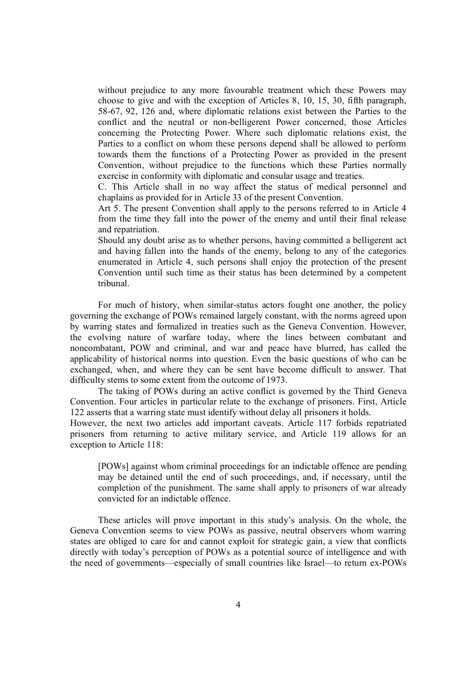without prejudice to any more favourable treatment which these Powers may choose to give and with the exception of Articles 8, 10, 15, 30, fifth paragraph, 58-67, 92, 126 and, where diplomatic relations exist between the Parties to the conflict and the neutral or non-belligerent Power concerned, those Articles concerning the Protecting Power. Where such diplomatic relations exist, the Parties to a conflict on whom these persons depend shall be allowed to perform towards them the functions of a Protecting Power as provided in the present Convention, without prejudice to the functions which these Parties normally exercise in conformity with diplomatic and consular usage and treaties.

C. This Article shall in no way affect the status of medical personnel and chaplains as provided for in Article 33 of the present Convention.

Art 5. The present Convention shall apply to the persons referred to in Article 4 from the time they fall into the power of the enemy and until their final release and repatriation.

Should any doubt arise as to whether persons, having committed a belligerent act and having fallen into the hands of the enemy, belong to any of the categories enumerated in Article 4, such persons shall enjoy the protection of the present Convention until such time as their status has been determined by a competent tribunal.

For much of history, when similar-status actors fought one another, the policy governing the exchange of POWs remained largely constant, with the norms agreed upon by warring states and formalized in treaties such as the Geneva Convention. However, the evolving nature of warfare today, where the lines between combatant and noncombatant, POW and criminal, and war and peace have blurred, has called the applicability of historical norms into question. Even the basic questions of who can be exchanged, when, and where they can be sent have become difficult to answer. That difficulty stems to some extent from the outcome of 1973.

The taking of POWs during an active conflict is governed by the Third Geneva Convention. Four articles in particular relate to the exchange of prisoners. First, Article 122 asserts that a warring state must identify without delay all prisoners it holds.

However, the next two articles add important caveats. Article 117 forbids repatriated prisoners from returning to active military service, and Article 119 allows for an exception to Article 118:

[POWs] against whom criminal proceedings for an indictable offence are pending may be detained until the end of such proceedings, and, if necessary, until the completion of the punishment. The same shall apply to prisoners of war already convicted for an indictable offence.

These articles will prove important in this study's analysis. On the whole, the Geneva Convention seems to view POWs as passive, neutral observers whom warring states are obliged to care for and cannot exploit for strategic gain, a view that conflicts directly with today's perception of POWs as a potential source of intelligence and with the need of governments—especially of small countries like Israel—to return ex-POWs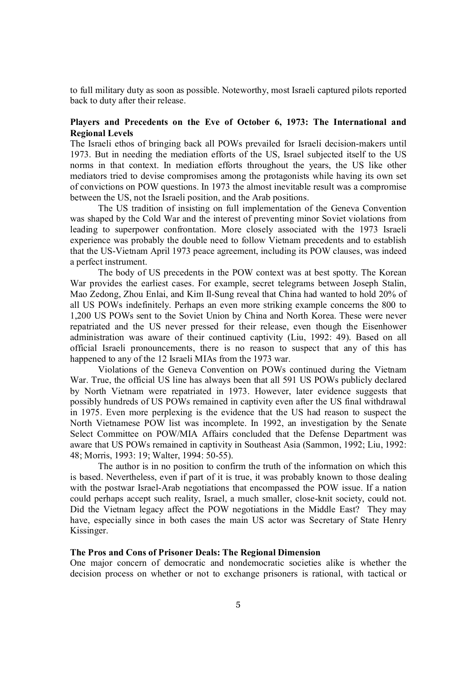to full military duty as soon as possible. Noteworthy, most Israeli captured pilots reported back to duty after their release.

## **Players and Precedents on the Eve of October 6, 1973: The International and Regional Levels**

The Israeli ethos of bringing back all POWs prevailed for Israeli decision-makers until 1973. But in needing the mediation efforts of the US, Israel subjected itself to the US norms in that context. In mediation efforts throughout the years, the US like other mediators tried to devise compromises among the protagonists while having its own set of convictions on POW questions. In 1973 the almost inevitable result was a compromise between the US, not the Israeli position, and the Arab positions.

The US tradition of insisting on full implementation of the Geneva Convention was shaped by the Cold War and the interest of preventing minor Soviet violations from leading to superpower confrontation. More closely associated with the 1973 Israeli experience was probably the double need to follow Vietnam precedents and to establish that the US-Vietnam April 1973 peace agreement, including its POW clauses, was indeed a perfect instrument.

The body of US precedents in the POW context was at best spotty. The Korean War provides the earliest cases. For example, secret telegrams between Joseph Stalin, Mao Zedong, Zhou Enlai, and Kim Il-Sung reveal that China had wanted to hold 20% of all US POWs indefinitely. Perhaps an even more striking example concerns the 800 to 1,200 US POWs sent to the Soviet Union by China and North Korea. These were never repatriated and the US never pressed for their release, even though the Eisenhower administration was aware of their continued captivity (Liu, 1992: 49). Based on all official Israeli pronouncements, there is no reason to suspect that any of this has happened to any of the 12 Israeli MIAs from the 1973 war.

Violations of the Geneva Convention on POWs continued during the Vietnam War. True, the official US line has always been that all 591 US POWs publicly declared by North Vietnam were repatriated in 1973. However, later evidence suggests that possibly hundreds of US POWs remained in captivity even after the US final withdrawal in 1975. Even more perplexing is the evidence that the US had reason to suspect the North Vietnamese POW list was incomplete. In 1992, an investigation by the Senate Select Committee on POW/MIA Affairs concluded that the Defense Department was aware that US POWs remained in captivity in Southeast Asia (Sammon, 1992; Liu, 1992: 48; Morris, 1993: 19; Walter, 1994: 50-55).

The author is in no position to confirm the truth of the information on which this is based. Nevertheless, even if part of it is true, it was probably known to those dealing with the postwar Israel-Arab negotiations that encompassed the POW issue. If a nation could perhaps accept such reality, Israel, a much smaller, close-knit society, could not. Did the Vietnam legacy affect the POW negotiations in the Middle East? They may have, especially since in both cases the main US actor was Secretary of State Henry Kissinger.

### **The Pros and Cons of Prisoner Deals: The Regional Dimension**

One major concern of democratic and nondemocratic societies alike is whether the decision process on whether or not to exchange prisoners is rational, with tactical or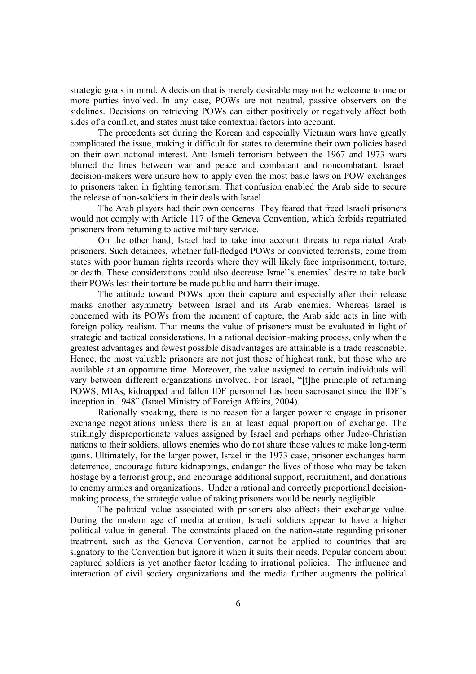strategic goals in mind. A decision that is merely desirable may not be welcome to one or more parties involved. In any case, POWs are not neutral, passive observers on the sidelines. Decisions on retrieving POWs can either positively or negatively affect both sides of a conflict, and states must take contextual factors into account.

The precedents set during the Korean and especially Vietnam wars have greatly complicated the issue, making it difficult for states to determine their own policies based on their own national interest. Anti-Israeli terrorism between the 1967 and 1973 wars blurred the lines between war and peace and combatant and noncombatant. Israeli decision-makers were unsure how to apply even the most basic laws on POW exchanges to prisoners taken in fighting terrorism. That confusion enabled the Arab side to secure the release of non-soldiers in their deals with Israel.

The Arab players had their own concerns. They feared that freed Israeli prisoners would not comply with Article 117 of the Geneva Convention, which forbids repatriated prisoners from returning to active military service.

On the other hand, Israel had to take into account threats to repatriated Arab prisoners. Such detainees, whether full-fledged POWs or convicted terrorists, come from states with poor human rights records where they will likely face imprisonment, torture, or death. These considerations could also decrease Israel's enemies' desire to take back their POWs lest their torture be made public and harm their image.

The attitude toward POWs upon their capture and especially after their release marks another asymmetry between Israel and its Arab enemies. Whereas Israel is concerned with its POWs from the moment of capture, the Arab side acts in line with foreign policy realism. That means the value of prisoners must be evaluated in light of strategic and tactical considerations. In a rational decision-making process, only when the greatest advantages and fewest possible disadvantages are attainable is a trade reasonable. Hence, the most valuable prisoners are not just those of highest rank, but those who are available at an opportune time. Moreover, the value assigned to certain individuals will vary between different organizations involved. For Israel, "[t]he principle of returning POWS, MIAs, kidnapped and fallen IDF personnel has been sacrosanct since the IDF's inception in 1948" (Israel Ministry of Foreign Affairs, 2004).

Rationally speaking, there is no reason for a larger power to engage in prisoner exchange negotiations unless there is an at least equal proportion of exchange. The strikingly disproportionate values assigned by Israel and perhaps other Judeo-Christian nations to their soldiers, allows enemies who do not share those values to make long-term gains. Ultimately, for the larger power, Israel in the 1973 case, prisoner exchanges harm deterrence, encourage future kidnappings, endanger the lives of those who may be taken hostage by a terrorist group, and encourage additional support, recruitment, and donations to enemy armies and organizations. Under a rational and correctly proportional decisionmaking process, the strategic value of taking prisoners would be nearly negligible.

The political value associated with prisoners also affects their exchange value. During the modern age of media attention, Israeli soldiers appear to have a higher political value in general. The constraints placed on the nation-state regarding prisoner treatment, such as the Geneva Convention, cannot be applied to countries that are signatory to the Convention but ignore it when it suits their needs. Popular concern about captured soldiers is yet another factor leading to irrational policies. The influence and interaction of civil society organizations and the media further augments the political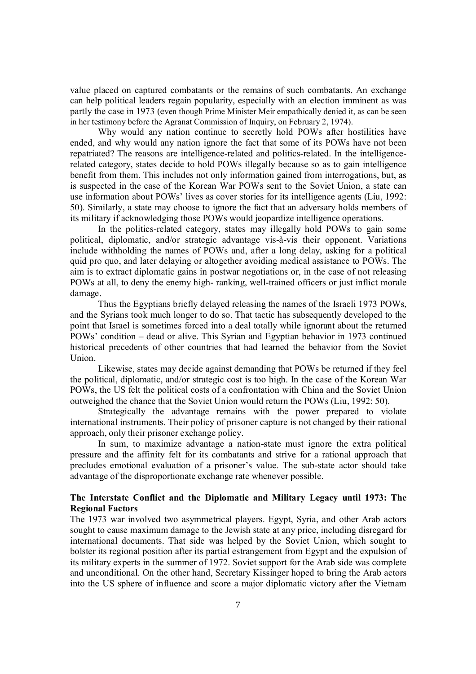value placed on captured combatants or the remains of such combatants. An exchange can help political leaders regain popularity, especially with an election imminent as was partly the case in 1973 (even though Prime Minister Meir empathically denied it, as can be seen in her testimony before the Agranat Commission of Inquiry, on February 2, 1974).

Why would any nation continue to secretly hold POWs after hostilities have ended, and why would any nation ignore the fact that some of its POWs have not been repatriated? The reasons are intelligence-related and politics-related. In the intelligencerelated category, states decide to hold POWs illegally because so as to gain intelligence benefit from them. This includes not only information gained from interrogations, but, as is suspected in the case of the Korean War POWs sent to the Soviet Union, a state can use information about POWs' lives as cover stories for its intelligence agents (Liu, 1992: 50). Similarly, a state may choose to ignore the fact that an adversary holds members of its military if acknowledging those POWs would jeopardize intelligence operations.

In the politics-related category, states may illegally hold POWs to gain some political, diplomatic, and/or strategic advantage vis-à-vis their opponent. Variations include withholding the names of POWs and, after a long delay, asking for a political quid pro quo, and later delaying or altogether avoiding medical assistance to POWs. The aim is to extract diplomatic gains in postwar negotiations or, in the case of not releasing POWs at all, to deny the enemy high- ranking, well-trained officers or just inflict morale damage.

Thus the Egyptians briefly delayed releasing the names of the Israeli 1973 POWs, and the Syrians took much longer to do so. That tactic has subsequently developed to the point that Israel is sometimes forced into a deal totally while ignorant about the returned POWs' condition – dead or alive. This Syrian and Egyptian behavior in 1973 continued historical precedents of other countries that had learned the behavior from the Soviet Union.

Likewise, states may decide against demanding that POWs be returned if they feel the political, diplomatic, and/or strategic cost is too high. In the case of the Korean War POWs, the US felt the political costs of a confrontation with China and the Soviet Union outweighed the chance that the Soviet Union would return the POWs (Liu, 1992: 50).

Strategically the advantage remains with the power prepared to violate international instruments. Their policy of prisoner capture is not changed by their rational approach, only their prisoner exchange policy.

In sum, to maximize advantage a nation-state must ignore the extra political pressure and the affinity felt for its combatants and strive for a rational approach that precludes emotional evaluation of a prisoner's value. The sub-state actor should take advantage of the disproportionate exchange rate whenever possible.

# **The Interstate Conflict and the Diplomatic and Military Legacy until 1973: The Regional Factors**

The 1973 war involved two asymmetrical players. Egypt, Syria, and other Arab actors sought to cause maximum damage to the Jewish state at any price, including disregard for international documents. That side was helped by the Soviet Union, which sought to bolster its regional position after its partial estrangement from Egypt and the expulsion of its military experts in the summer of 1972. Soviet support for the Arab side was complete and unconditional. On the other hand, Secretary Kissinger hoped to bring the Arab actors into the US sphere of influence and score a major diplomatic victory after the Vietnam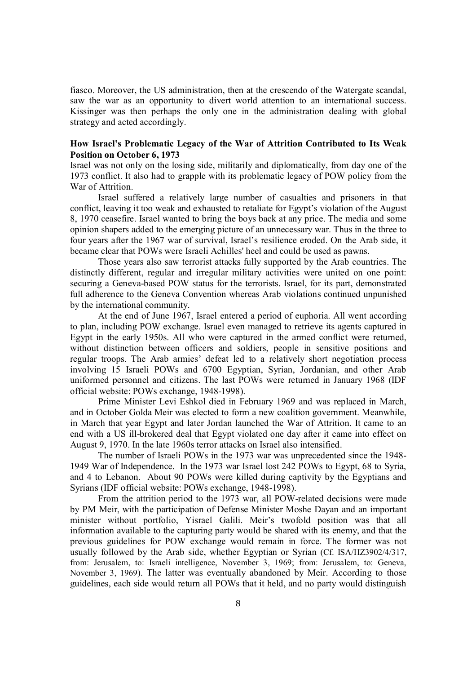fiasco. Moreover, the US administration, then at the crescendo of the Watergate scandal, saw the war as an opportunity to divert world attention to an international success. Kissinger was then perhaps the only one in the administration dealing with global strategy and acted accordingly.

## **How Israel's Problematic Legacy of the War of Attrition Contributed to Its Weak Position on October 6, 1973**

Israel was not only on the losing side, militarily and diplomatically, from day one of the 1973 conflict. It also had to grapple with its problematic legacy of POW policy from the War of Attrition.

Israel suffered a relatively large number of casualties and prisoners in that conflict, leaving it too weak and exhausted to retaliate for Egypt's violation of the August 8, 1970 ceasefire. Israel wanted to bring the boys back at any price. The media and some opinion shapers added to the emerging picture of an unnecessary war. Thus in the three to four years after the 1967 war of survival, Israel's resilience eroded. On the Arab side, it became clear that POWs were Israeli Achilles' heel and could be used as pawns.

Those years also saw terrorist attacks fully supported by the Arab countries. The distinctly different, regular and irregular military activities were united on one point: securing a Geneva-based POW status for the terrorists. Israel, for its part, demonstrated full adherence to the Geneva Convention whereas Arab violations continued unpunished by the international community.

At the end of June 1967, Israel entered a period of euphoria. All went according to plan, including POW exchange. Israel even managed to retrieve its agents captured in Egypt in the early 1950s. All who were captured in the armed conflict were returned, without distinction between officers and soldiers, people in sensitive positions and regular troops. The Arab armies' defeat led to a relatively short negotiation process involving 15 Israeli POWs and 6700 Egyptian, Syrian, Jordanian, and other Arab uniformed personnel and citizens. The last POWs were returned in January 1968 (IDF official website: POWs exchange, 1948-1998).

Prime Minister Levi Eshkol died in February 1969 and was replaced in March, and in October Golda Meir was elected to form a new coalition government. Meanwhile, in March that year Egypt and later Jordan launched the War of Attrition. It came to an end with a US ill-brokered deal that Egypt violated one day after it came into effect on August 9, 1970. In the late 1960s terror attacks on Israel also intensified.

The number of Israeli POWs in the 1973 war was unprecedented since the 1948- 1949 War of Independence. In the 1973 war Israel lost 242 POWs to Egypt, 68 to Syria, and 4 to Lebanon. About 90 POWs were killed during captivity by the Egyptians and Syrians (IDF official website: POWs exchange, 1948-1998).

From the attrition period to the 1973 war, all POW-related decisions were made by PM Meir, with the participation of Defense Minister Moshe Dayan and an important minister without portfolio, Yisrael Galili. Meir's twofold position was that all information available to the capturing party would be shared with its enemy, and that the previous guidelines for POW exchange would remain in force. The former was not usually followed by the Arab side, whether Egyptian or Syrian (Cf. ISA/HZ3902/4/317, from: Jerusalem, to: Israeli intelligence, November 3, 1969; from: Jerusalem, to: Geneva, November 3, 1969). The latter was eventually abandoned by Meir. According to those guidelines, each side would return all POWs that it held, and no party would distinguish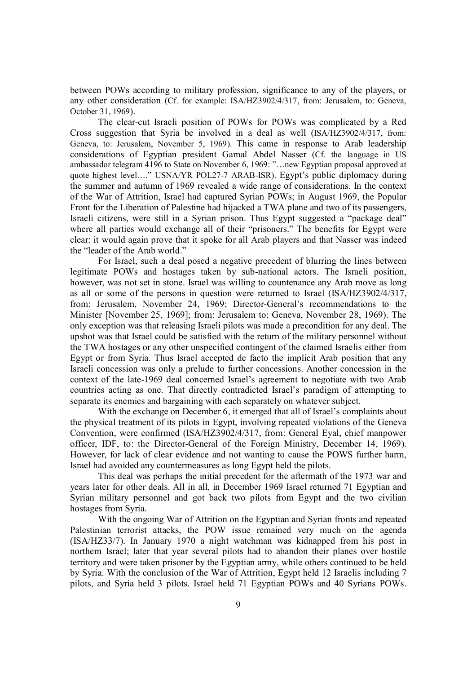between POWs according to military profession, significance to any of the players, or any other consideration (Cf. for example: ISA/HZ3902/4/317, from: Jerusalem, to: Geneva, October 31, 1969).

The clear-cut Israeli position of POWs for POWs was complicated by a Red Cross suggestion that Syria be involved in a deal as well (ISA/HZ3902/4/317, from: Geneva, to: Jerusalem, November 5, 1969). This came in response to Arab leadership considerations of Egyptian president Gamal Abdel Nasser (Cf. the language in US ambassador telegram 4196 to State on November 6, 1969: "…new Egyptian proposal approved at quote highest level…." USNA/YR POL27-7 ARAB-ISR). Egypt's public diplomacy during the summer and autumn of 1969 revealed a wide range of considerations. In the context of the War of Attrition, Israel had captured Syrian POWs; in August 1969, the Popular Front for the Liberation of Palestine had hijacked a TWA plane and two of its passengers, Israeli citizens, were still in a Syrian prison. Thus Egypt suggested a "package deal" where all parties would exchange all of their "prisoners." The benefits for Egypt were clear: it would again prove that it spoke for all Arab players and that Nasser was indeed the "leader of the Arab world."

For Israel, such a deal posed a negative precedent of blurring the lines between legitimate POWs and hostages taken by sub-national actors. The Israeli position, however, was not set in stone. Israel was willing to countenance any Arab move as long as all or some of the persons in question were returned to Israel (ISA/HZ3902/4/317, from: Jerusalem, November 24, 1969; Director-General's recommendations to the Minister [November 25, 1969]; from: Jerusalem to: Geneva, November 28, 1969). The only exception was that releasing Israeli pilots was made a precondition for any deal. The upshot was that Israel could be satisfied with the return of the military personnel without the TWA hostages or any other unspecified contingent of the claimed Israelis either from Egypt or from Syria. Thus Israel accepted de facto the implicit Arab position that any Israeli concession was only a prelude to further concessions. Another concession in the context of the late-1969 deal concerned Israel's agreement to negotiate with two Arab countries acting as one. That directly contradicted Israel's paradigm of attempting to separate its enemies and bargaining with each separately on whatever subject.

With the exchange on December 6, it emerged that all of Israel's complaints about the physical treatment of its pilots in Egypt, involving repeated violations of the Geneva Convention, were confirmed (ISA/HZ3902/4/317, from: General Eyal, chief manpower officer, IDF, to: the Director-General of the Foreign Ministry, December 14, 1969). However, for lack of clear evidence and not wanting to cause the POWS further harm, Israel had avoided any countermeasures as long Egypt held the pilots.

This deal was perhaps the initial precedent for the aftermath of the 1973 war and years later for other deals. All in all, in December 1969 Israel returned 71 Egyptian and Syrian military personnel and got back two pilots from Egypt and the two civilian hostages from Syria.

With the ongoing War of Attrition on the Egyptian and Syrian fronts and repeated Palestinian terrorist attacks, the POW issue remained very much on the agenda (ISA/HZ33/7). In January 1970 a night watchman was kidnapped from his post in northern Israel; later that year several pilots had to abandon their planes over hostile territory and were taken prisoner by the Egyptian army, while others continued to be held by Syria. With the conclusion of the War of Attrition, Egypt held 12 Israelis including 7 pilots, and Syria held 3 pilots. Israel held 71 Egyptian POWs and 40 Syrians POWs.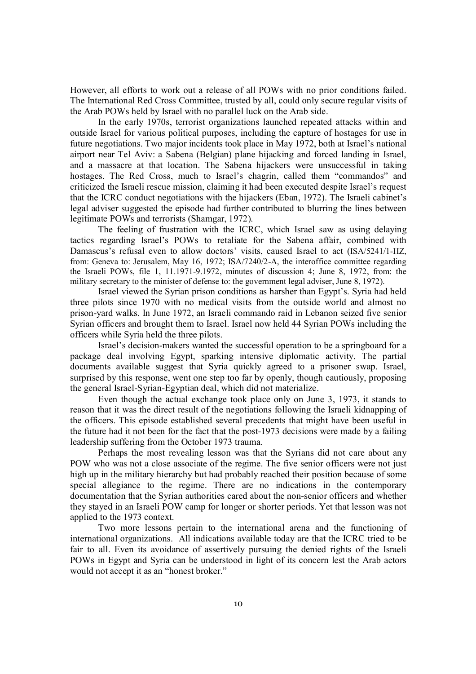However, all efforts to work out a release of all POWs with no prior conditions failed. The International Red Cross Committee, trusted by all, could only secure regular visits of the Arab POWs held by Israel with no parallel luck on the Arab side.

In the early 1970s, terrorist organizations launched repeated attacks within and outside Israel for various political purposes, including the capture of hostages for use in future negotiations. Two major incidents took place in May 1972, both at Israel's national airport near Tel Aviv: a Sabena (Belgian) plane hijacking and forced landing in Israel, and a massacre at that location. The Sabena hijackers were unsuccessful in taking hostages. The Red Cross, much to Israel's chagrin, called them "commandos" and criticized the Israeli rescue mission, claiming it had been executed despite Israel's request that the ICRC conduct negotiations with the hijackers (Eban, 1972). The Israeli cabinet's legal adviser suggested the episode had further contributed to blurring the lines between legitimate POWs and terrorists (Shamgar, 1972).

The feeling of frustration with the ICRC, which Israel saw as using delaying tactics regarding Israel's POWs to retaliate for the Sabena affair, combined with Damascus's refusal even to allow doctors' visits, caused Israel to act (ISA/5241/1-HZ, from: Geneva to: Jerusalem, May 16, 1972; ISA/7240/2-A, the interoffice committee regarding the Israeli POWs, file 1, 11.1971-9.1972, minutes of discussion 4; June 8, 1972, from: the military secretary to the minister of defense to: the government legal adviser, June 8, 1972).

Israel viewed the Syrian prison conditions as harsher than Egypt's. Syria had held three pilots since 1970 with no medical visits from the outside world and almost no prison-yard walks. In June 1972, an Israeli commando raid in Lebanon seized five senior Syrian officers and brought them to Israel. Israel now held 44 Syrian POWs including the officers while Syria held the three pilots.

Israel's decision-makers wanted the successful operation to be a springboard for a package deal involving Egypt, sparking intensive diplomatic activity. The partial documents available suggest that Syria quickly agreed to a prisoner swap. Israel, surprised by this response, went one step too far by openly, though cautiously, proposing the general Israel-Syrian-Egyptian deal, which did not materialize.

Even though the actual exchange took place only on June 3, 1973, it stands to reason that it was the direct result of the negotiations following the Israeli kidnapping of the officers. This episode established several precedents that might have been useful in the future had it not been for the fact that the post-1973 decisions were made by a failing leadership suffering from the October 1973 trauma.

Perhaps the most revealing lesson was that the Syrians did not care about any POW who was not a close associate of the regime. The five senior officers were not just high up in the military hierarchy but had probably reached their position because of some special allegiance to the regime. There are no indications in the contemporary documentation that the Syrian authorities cared about the non-senior officers and whether they stayed in an Israeli POW camp for longer or shorter periods. Yet that lesson was not applied to the 1973 context.

Two more lessons pertain to the international arena and the functioning of international organizations. All indications available today are that the ICRC tried to be fair to all. Even its avoidance of assertively pursuing the denied rights of the Israeli POWs in Egypt and Syria can be understood in light of its concern lest the Arab actors would not accept it as an "honest broker."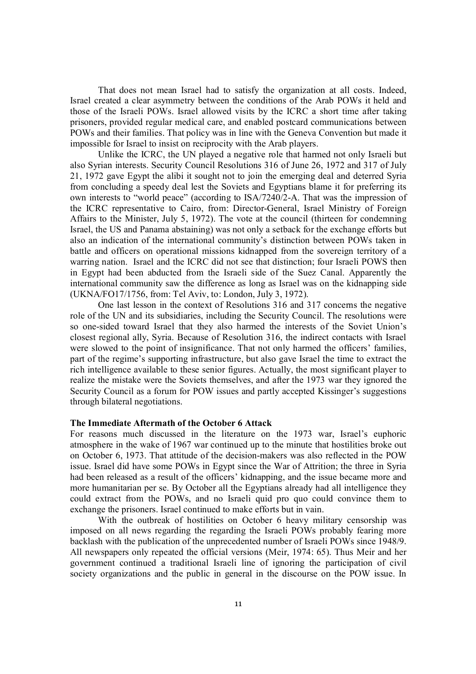That does not mean Israel had to satisfy the organization at all costs. Indeed, Israel created a clear asymmetry between the conditions of the Arab POWs it held and those of the Israeli POWs. Israel allowed visits by the ICRC a short time after taking prisoners, provided regular medical care, and enabled postcard communications between POWs and their families. That policy was in line with the Geneva Convention but made it impossible for Israel to insist on reciprocity with the Arab players.

Unlike the ICRC, the UN played a negative role that harmed not only Israeli but also Syrian interests. Security Council Resolutions 316 of June 26, 1972 and 317 of July 21, 1972 gave Egypt the alibi it sought not to join the emerging deal and deterred Syria from concluding a speedy deal lest the Soviets and Egyptians blame it for preferring its own interests to "world peace" (according to ISA/7240/2-A. That was the impression of the ICRC representative to Cairo, from: Director-General, Israel Ministry of Foreign Affairs to the Minister, July 5, 1972). The vote at the council (thirteen for condemning Israel, the US and Panama abstaining) was not only a setback for the exchange efforts but also an indication of the international community's distinction between POWs taken in battle and officers on operational missions kidnapped from the sovereign territory of a warring nation. Israel and the ICRC did not see that distinction; four Israeli POWS then in Egypt had been abducted from the Israeli side of the Suez Canal. Apparently the international community saw the difference as long as Israel was on the kidnapping side (UKNA/FO17/1756, from: Tel Aviv, to: London, July 3, 1972).

One last lesson in the context of Resolutions 316 and 317 concerns the negative role of the UN and its subsidiaries, including the Security Council. The resolutions were so one-sided toward Israel that they also harmed the interests of the Soviet Union's closest regional ally, Syria. Because of Resolution 316, the indirect contacts with Israel were slowed to the point of insignificance. That not only harmed the officers' families, part of the regime's supporting infrastructure, but also gave Israel the time to extract the rich intelligence available to these senior figures. Actually, the most significant player to realize the mistake were the Soviets themselves, and after the 1973 war they ignored the Security Council as a forum for POW issues and partly accepted Kissinger's suggestions through bilateral negotiations.

#### **The Immediate Aftermath of the October 6 Attack**

For reasons much discussed in the literature on the 1973 war, Israel's euphoric atmosphere in the wake of 1967 war continued up to the minute that hostilities broke out on October 6, 1973. That attitude of the decision-makers was also reflected in the POW issue. Israel did have some POWs in Egypt since the War of Attrition; the three in Syria had been released as a result of the officers' kidnapping, and the issue became more and more humanitarian per se. By October all the Egyptians already had all intelligence they could extract from the POWs, and no Israeli quid pro quo could convince them to exchange the prisoners. Israel continued to make efforts but in vain.

With the outbreak of hostilities on October 6 heavy military censorship was imposed on all news regarding the regarding the Israeli POWs probably fearing more backlash with the publication of the unprecedented number of Israeli POWs since 1948/9. All newspapers only repeated the official versions (Meir, 1974: 65). Thus Meir and her government continued a traditional Israeli line of ignoring the participation of civil society organizations and the public in general in the discourse on the POW issue. In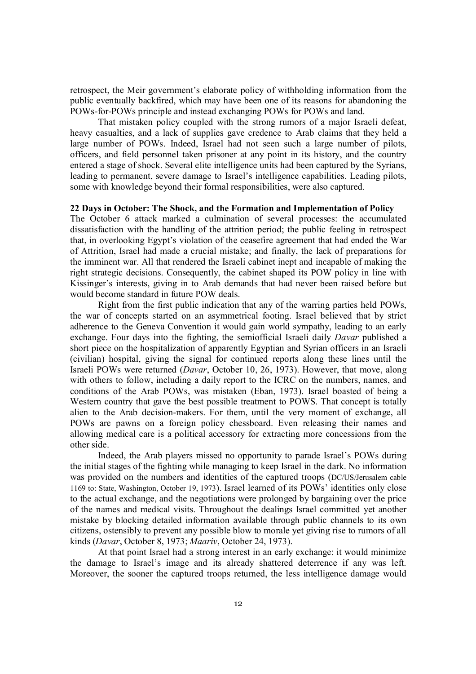retrospect, the Meir government's elaborate policy of withholding information from the public eventually backfired, which may have been one of its reasons for abandoning the POWs-for-POWs principle and instead exchanging POWs for POWs and land.

That mistaken policy coupled with the strong rumors of a major Israeli defeat, heavy casualties, and a lack of supplies gave credence to Arab claims that they held a large number of POWs. Indeed, Israel had not seen such a large number of pilots, officers, and field personnel taken prisoner at any point in its history, and the country entered a stage of shock. Several elite intelligence units had been captured by the Syrians, leading to permanent, severe damage to Israel's intelligence capabilities. Leading pilots, some with knowledge beyond their formal responsibilities, were also captured.

#### **22 Days in October: The Shock, and the Formation and Implementation of Policy**

The October 6 attack marked a culmination of several processes: the accumulated dissatisfaction with the handling of the attrition period; the public feeling in retrospect that, in overlooking Egypt's violation of the ceasefire agreement that had ended the War of Attrition, Israel had made a crucial mistake; and finally, the lack of preparations for the imminent war. All that rendered the Israeli cabinet inept and incapable of making the right strategic decisions. Consequently, the cabinet shaped its POW policy in line with Kissinger's interests, giving in to Arab demands that had never been raised before but would become standard in future POW deals.

Right from the first public indication that any of the warring parties held POWs, the war of concepts started on an asymmetrical footing. Israel believed that by strict adherence to the Geneva Convention it would gain world sympathy, leading to an early exchange. Four days into the fighting, the semiofficial Israeli daily *Davar* published a short piece on the hospitalization of apparently Egyptian and Syrian officers in an Israeli (civilian) hospital, giving the signal for continued reports along these lines until the Israeli POWs were returned (*Davar*, October 10, 26, 1973). However, that move, along with others to follow, including a daily report to the ICRC on the numbers, names, and conditions of the Arab POWs, was mistaken (Eban, 1973). Israel boasted of being a Western country that gave the best possible treatment to POWS. That concept is totally alien to the Arab decision-makers. For them, until the very moment of exchange, all POWs are pawns on a foreign policy chessboard. Even releasing their names and allowing medical care is a political accessory for extracting more concessions from the other side.

Indeed, the Arab players missed no opportunity to parade Israel's POWs during the initial stages of the fighting while managing to keep Israel in the dark. No information was provided on the numbers and identities of the captured troops (DC/US/Jerusalem cable 1169 to: State, Washington, October 19, 1973). Israel learned of its POWs' identities only close to the actual exchange, and the negotiations were prolonged by bargaining over the price of the names and medical visits. Throughout the dealings Israel committed yet another mistake by blocking detailed information available through public channels to its own citizens, ostensibly to prevent any possible blow to morale yet giving rise to rumors of all kinds (*Davar*, October 8, 1973; *Maariv*, October 24, 1973).

At that point Israel had a strong interest in an early exchange: it would minimize the damage to Israel's image and its already shattered deterrence if any was left. Moreover, the sooner the captured troops returned, the less intelligence damage would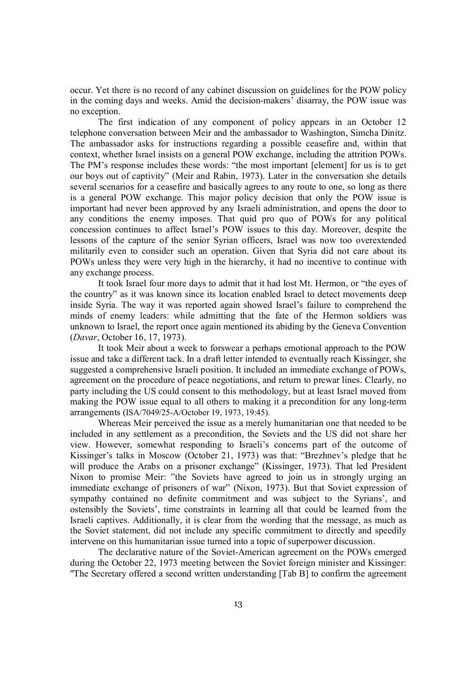occur. Yet there is no record of any cabinet discussion on guidelines for the POW policy in the coming days and weeks. Amid the decision-makers' disarray, the POW issue was no exception.

The first indication of any component of policy appears in an October 12 telephone conversation between Meir and the ambassador to Washington, Simcha Dinitz. The ambassador asks for instructions regarding a possible ceasefire and, within that context, whether Israel insists on a general POW exchange, including the attrition POWs. The PM's response includes these words: "the most important [element] for us is to get our boys out of captivity" (Meir and Rabin, 1973). Later in the conversation she details several scenarios for a ceasefire and basically agrees to any route to one, so long as there is a general POW exchange. This major policy decision that only the POW issue is important had never been approved by any Israeli administration, and opens the door to any conditions the enemy imposes. That quid pro quo of POWs for any political concession continues to affect Israel's POW issues to this day. Moreover, despite the lessons of the capture of the senior Syrian officers, Israel was now too overextended militarily even to consider such an operation. Given that Syria did not care about its POWs unless they were very high in the hierarchy, it had no incentive to continue with any exchange process.

It took Israel four more days to admit that it had lost Mt. Hermon, or "the eyes of the country" as it was known since its location enabled Israel to detect movements deep inside Syria. The way it was reported again showed Israel's failure to comprehend the minds of enemy leaders: while admitting that the fate of the Hermon soldiers was unknown to Israel, the report once again mentioned its abiding by the Geneva Convention (*Davar*, October 16, 17, 1973).

It took Meir about a week to forswear a perhaps emotional approach to the POW issue and take a different tack. In a draft letter intended to eventually reach Kissinger, she suggested a comprehensive Israeli position. It included an immediate exchange of POWs, agreement on the procedure of peace negotiations, and return to prewar lines. Clearly, no party including the US could consent to this methodology, but at least Israel moved from making the POW issue equal to all others to making it a precondition for any long-term arrangements (ISA/7049/25-A/October 19, 1973, 19:45).

Whereas Meir perceived the issue as a merely humanitarian one that needed to be included in any settlement as a precondition, the Soviets and the US did not share her view. However, somewhat responding to Israeli's concerns part of the outcome of Kissinger's talks in Moscow (October 21, 1973) was that: "Brezhnev's pledge that he will produce the Arabs on a prisoner exchange" (Kissinger, 1973). That led President Nixon to promise Meir: "the Soviets have agreed to join us in strongly urging an immediate exchange of prisoners of war" (Nixon, 1973). But that Soviet expression of sympathy contained no definite commitment and was subject to the Syrians', and ostensibly the Soviets', time constraints in learning all that could be learned from the Israeli captives. Additionally, it is clear from the wording that the message, as much as the Soviet statement, did not include any specific commitment to directly and speedily intervene on this humanitarian issue turned into a topic of superpower discussion.

The declarative nature of the Soviet-American agreement on the POWs emerged during the October 22, 1973 meeting between the Soviet foreign minister and Kissinger: "The Secretary offered a second written understanding [Tab B] to confirm the agreement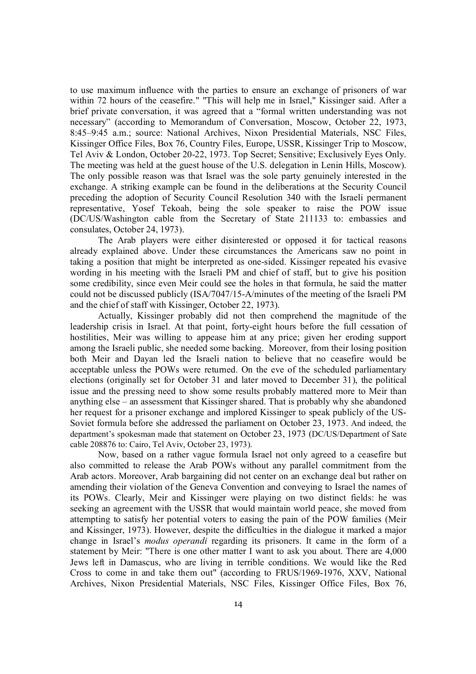to use maximum influence with the parties to ensure an exchange of prisoners of war within 72 hours of the ceasefire." "This will help me in Israel," Kissinger said. After a brief private conversation, it was agreed that a "formal written understanding was not necessary" (according to Memorandum of Conversation, Moscow, October 22, 1973, 8:45–9:45 a.m.; source: National Archives, Nixon Presidential Materials, NSC Files, Kissinger Office Files, Box 76, Country Files, Europe, USSR, Kissinger Trip to Moscow, Tel Aviv & London, October 20-22, 1973. Top Secret; Sensitive; Exclusively Eyes Only. The meeting was held at the guest house of the U.S. delegation in Lenin Hills, Moscow). The only possible reason was that Israel was the sole party genuinely interested in the exchange. A striking example can be found in the deliberations at the Security Council preceding the adoption of Security Council Resolution 340 with the Israeli permanent representative, Yosef Tekoah, being the sole speaker to raise the POW issue (DC/US/Washington cable from the Secretary of State 211133 to: embassies and consulates, October 24, 1973).

The Arab players were either disinterested or opposed it for tactical reasons already explained above. Under these circumstances the Americans saw no point in taking a position that might be interpreted as one-sided. Kissinger repeated his evasive wording in his meeting with the Israeli PM and chief of staff, but to give his position some credibility, since even Meir could see the holes in that formula, he said the matter could not be discussed publicly (ISA/7047/15-A/minutes of the meeting of the Israeli PM and the chief of staff with Kissinger, October 22, 1973).

Actually, Kissinger probably did not then comprehend the magnitude of the leadership crisis in Israel. At that point, forty-eight hours before the full cessation of hostilities, Meir was willing to appease him at any price; given her eroding support among the Israeli public, she needed some backing. Moreover, from their losing position both Meir and Dayan led the Israeli nation to believe that no ceasefire would be acceptable unless the POWs were returned. On the eve of the scheduled parliamentary elections (originally set for October 31 and later moved to December 31), the political issue and the pressing need to show some results probably mattered more to Meir than anything else – an assessment that Kissinger shared. That is probably why she abandoned her request for a prisoner exchange and implored Kissinger to speak publicly of the US-Soviet formula before she addressed the parliament on October 23, 1973. And indeed, the department's spokesman made that statement on October 23, 1973 (DC/US/Department of Sate cable 208876 to: Cairo, Tel Aviv, October 23, 1973).

Now, based on a rather vague formula Israel not only agreed to a ceasefire but also committed to release the Arab POWs without any parallel commitment from the Arab actors. Moreover, Arab bargaining did not center on an exchange deal but rather on amending their violation of the Geneva Convention and conveying to Israel the names of its POWs. Clearly, Meir and Kissinger were playing on two distinct fields: he was seeking an agreement with the USSR that would maintain world peace, she moved from attempting to satisfy her potential voters to easing the pain of the POW families (Meir and Kissinger, 1973). However, despite the difficulties in the dialogue it marked a major change in Israel's *modus operandi* regarding its prisoners. It came in the form of a statement by Meir: "There is one other matter I want to ask you about. There are 4,000 Jews left in Damascus, who are living in terrible conditions. We would like the Red Cross to come in and take them out" (according to FRUS/1969-1976, XXV, National Archives, Nixon Presidential Materials, NSC Files, Kissinger Office Files, Box 76,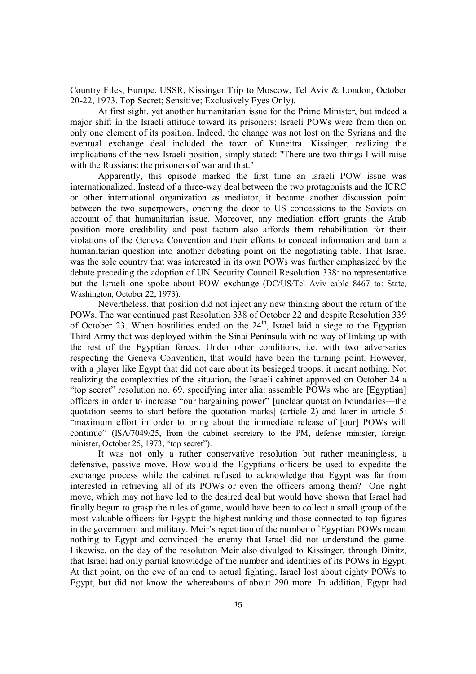Country Files, Europe, USSR, Kissinger Trip to Moscow, Tel Aviv & London, October 20-22, 1973. Top Secret; Sensitive; Exclusively Eyes Only).

At first sight, yet another humanitarian issue for the Prime Minister, but indeed a major shift in the Israeli attitude toward its prisoners: Israeli POWs were from then on only one element of its position. Indeed, the change was not lost on the Syrians and the eventual exchange deal included the town of Kuneitra. Kissinger, realizing the implications of the new Israeli position, simply stated: "There are two things I will raise with the Russians: the prisoners of war and that."

Apparently, this episode marked the first time an Israeli POW issue was internationalized. Instead of a three-way deal between the two protagonists and the ICRC or other international organization as mediator, it became another discussion point between the two superpowers, opening the door to US concessions to the Soviets on account of that humanitarian issue. Moreover, any mediation effort grants the Arab position more credibility and post factum also affords them rehabilitation for their violations of the Geneva Convention and their efforts to conceal information and turn a humanitarian question into another debating point on the negotiating table. That Israel was the sole country that was interested in its own POWs was further emphasized by the debate preceding the adoption of UN Security Council Resolution 338: no representative but the Israeli one spoke about POW exchange (DC/US/Tel Aviv cable 8467 to: State, Washington, October 22, 1973).

Nevertheless, that position did not inject any new thinking about the return of the POWs. The war continued past Resolution 338 of October 22 and despite Resolution 339 of October 23. When hostilities ended on the  $24<sup>th</sup>$ , Israel laid a siege to the Egyptian Third Army that was deployed within the Sinai Peninsula with no way of linking up with the rest of the Egyptian forces. Under other conditions, i.e. with two adversaries respecting the Geneva Convention, that would have been the turning point. However, with a player like Egypt that did not care about its besieged troops, it meant nothing. Not realizing the complexities of the situation, the Israeli cabinet approved on October 24 a "top secret" resolution no. 69, specifying inter alia: assemble POWs who are [Egyptian] officers in order to increase "our bargaining power" [unclear quotation boundaries—the quotation seems to start before the quotation marks] (article 2) and later in article 5: "maximum effort in order to bring about the immediate release of [our] POWs will continue" (ISA/7049/25, from the cabinet secretary to the PM, defense minister, foreign minister, October 25, 1973, "top secret").

It was not only a rather conservative resolution but rather meaningless, a defensive, passive move. How would the Egyptians officers be used to expedite the exchange process while the cabinet refused to acknowledge that Egypt was far from interested in retrieving all of its POWs or even the officers among them? One right move, which may not have led to the desired deal but would have shown that Israel had finally begun to grasp the rules of game, would have been to collect a small group of the most valuable officers for Egypt: the highest ranking and those connected to top figures in the government and military. Meir's repetition of the number of Egyptian POWs meant nothing to Egypt and convinced the enemy that Israel did not understand the game. Likewise, on the day of the resolution Meir also divulged to Kissinger, through Dinitz, that Israel had only partial knowledge of the number and identities of its POWs in Egypt. At that point, on the eve of an end to actual fighting, Israel lost about eighty POWs to Egypt, but did not know the whereabouts of about 290 more. In addition, Egypt had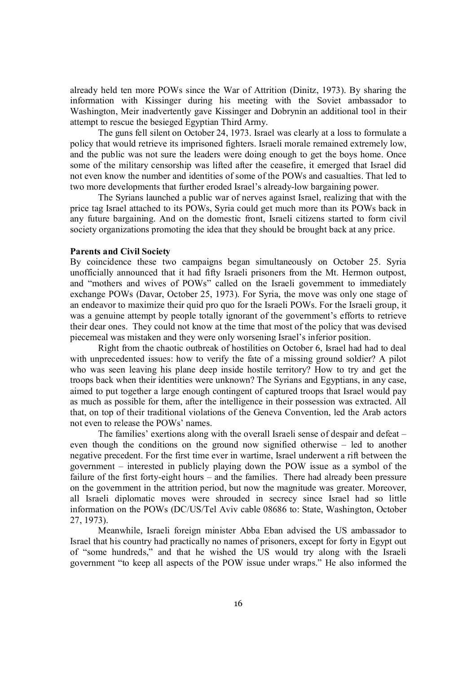already held ten more POWs since the War of Attrition (Dinitz, 1973). By sharing the information with Kissinger during his meeting with the Soviet ambassador to Washington, Meir inadvertently gave Kissinger and Dobrynin an additional tool in their attempt to rescue the besieged Egyptian Third Army.

The guns fell silent on October 24, 1973. Israel was clearly at a loss to formulate a policy that would retrieve its imprisoned fighters. Israeli morale remained extremely low, and the public was not sure the leaders were doing enough to get the boys home. Once some of the military censorship was lifted after the ceasefire, it emerged that Israel did not even know the number and identities of some of the POWs and casualties. That led to two more developments that further eroded Israel's already-low bargaining power.

The Syrians launched a public war of nerves against Israel, realizing that with the price tag Israel attached to its POWs, Syria could get much more than its POWs back in any future bargaining. And on the domestic front, Israeli citizens started to form civil society organizations promoting the idea that they should be brought back at any price.

## **Parents and Civil Society**

By coincidence these two campaigns began simultaneously on October 25. Syria unofficially announced that it had fifty Israeli prisoners from the Mt. Hermon outpost, and "mothers and wives of POWs" called on the Israeli government to immediately exchange POWs (Davar, October 25, 1973). For Syria, the move was only one stage of an endeavor to maximize their quid pro quo for the Israeli POWs. For the Israeli group, it was a genuine attempt by people totally ignorant of the government's efforts to retrieve their dear ones. They could not know at the time that most of the policy that was devised piecemeal was mistaken and they were only worsening Israel's inferior position.

Right from the chaotic outbreak of hostilities on October 6, Israel had had to deal with unprecedented issues: how to verify the fate of a missing ground soldier? A pilot who was seen leaving his plane deep inside hostile territory? How to try and get the troops back when their identities were unknown? The Syrians and Egyptians, in any case, aimed to put together a large enough contingent of captured troops that Israel would pay as much as possible for them, after the intelligence in their possession was extracted. All that, on top of their traditional violations of the Geneva Convention, led the Arab actors not even to release the POWs' names.

The families' exertions along with the overall Israeli sense of despair and defeat – even though the conditions on the ground now signified otherwise – led to another negative precedent. For the first time ever in wartime, Israel underwent a rift between the government – interested in publicly playing down the POW issue as a symbol of the failure of the first forty-eight hours – and the families. There had already been pressure on the government in the attrition period, but now the magnitude was greater. Moreover, all Israeli diplomatic moves were shrouded in secrecy since Israel had so little information on the POWs (DC/US/Tel Aviv cable 08686 to: State, Washington, October 27, 1973).

Meanwhile, Israeli foreign minister Abba Eban advised the US ambassador to Israel that his country had practically no names of prisoners, except for forty in Egypt out of "some hundreds," and that he wished the US would try along with the Israeli government "to keep all aspects of the POW issue under wraps." He also informed the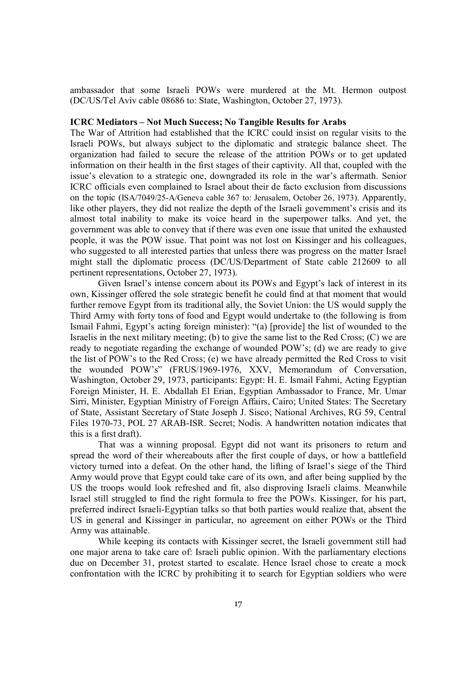ambassador that some Israeli POWs were murdered at the Mt. Hermon outpost (DC/US/Tel Aviv cable 08686 to: State, Washington, October 27, 1973).

### **ICRC Mediators – Not Much Success; No Tangible Results for Arabs**

The War of Attrition had established that the ICRC could insist on regular visits to the Israeli POWs, but always subject to the diplomatic and strategic balance sheet. The organization had failed to secure the release of the attrition POWs or to get updated information on their health in the first stages of their captivity. All that, coupled with the issue's elevation to a strategic one, downgraded its role in the war's aftermath. Senior ICRC officials even complained to Israel about their de facto exclusion from discussions on the topic (ISA/7049/25-A/Geneva cable 367 to: Jerusalem, October 26, 1973). Apparently, like other players, they did not realize the depth of the Israeli government's crisis and its almost total inability to make its voice heard in the superpower talks. And yet, the government was able to convey that if there was even one issue that united the exhausted people, it was the POW issue. That point was not lost on Kissinger and his colleagues, who suggested to all interested parties that unless there was progress on the matter Israel might stall the diplomatic process (DC/US/Department of State cable 212609 to all pertinent representations, October 27, 1973).

Given Israel's intense concern about its POWs and Egypt's lack of interest in its own, Kissinger offered the sole strategic benefit he could find at that moment that would further remove Egypt from its traditional ally, the Soviet Union: the US would supply the Third Army with forty tons of food and Egypt would undertake to (the following is from Ismail Fahmi, Egypt's acting foreign minister): "(a) [provide] the list of wounded to the Israelis in the next military meeting; (b) to give the same list to the Red Cross; (C) we are ready to negotiate regarding the exchange of wounded POW's; (d) we are ready to give the list of POW's to the Red Cross; (e) we have already permitted the Red Cross to visit the wounded POW's" (FRUS/1969-1976, XXV, Memorandum of Conversation, Washington, October 29, 1973, participants: Egypt: H. E. Ismail Fahmi, Acting Egyptian Foreign Minister, H. E. Abdallah El Erian, Egyptian Ambassador to France, Mr. Umar Sirri, Minister, Egyptian Ministry of Foreign Affairs, Cairo; United States: The Secretary of State, Assistant Secretary of State Joseph J. Sisco; National Archives, RG 59, Central Files 1970-73, POL 27 ARAB-ISR. Secret; Nodis. A handwritten notation indicates that this is a first draft).

That was a winning proposal. Egypt did not want its prisoners to return and spread the word of their whereabouts after the first couple of days, or how a battlefield victory turned into a defeat. On the other hand, the lifting of Israel's siege of the Third Army would prove that Egypt could take care of its own, and after being supplied by the US the troops would look refreshed and fit, also disproving Israeli claims. Meanwhile Israel still struggled to find the right formula to free the POWs. Kissinger, for his part, preferred indirect Israeli-Egyptian talks so that both parties would realize that, absent the US in general and Kissinger in particular, no agreement on either POWs or the Third Army was attainable.

While keeping its contacts with Kissinger secret, the Israeli government still had one major arena to take care of: Israeli public opinion. With the parliamentary elections due on December 31, protest started to escalate. Hence Israel chose to create a mock confrontation with the ICRC by prohibiting it to search for Egyptian soldiers who were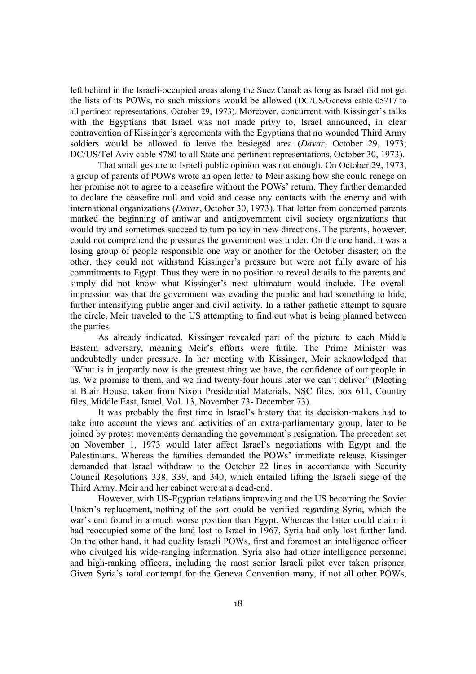left behind in the Israeli-occupied areas along the Suez Canal: as long as Israel did not get the lists of its POWs, no such missions would be allowed (DC/US/Geneva cable 05717 to all pertinent representations, October 29, 1973). Moreover, concurrent with Kissinger's talks with the Egyptians that Israel was not made privy to, Israel announced, in clear contravention of Kissinger's agreements with the Egyptians that no wounded Third Army soldiers would be allowed to leave the besieged area (*Davar*, October 29, 1973; DC/US/Tel Aviv cable 8780 to all State and pertinent representations, October 30, 1973).

That small gesture to Israeli public opinion was not enough. On October 29, 1973, a group of parents of POWs wrote an open letter to Meir asking how she could renege on her promise not to agree to a ceasefire without the POWs' return. They further demanded to declare the ceasefire null and void and cease any contacts with the enemy and with international organizations (*Davar*, October 30, 1973). That letter from concerned parents marked the beginning of antiwar and antigovernment civil society organizations that would try and sometimes succeed to turn policy in new directions. The parents, however, could not comprehend the pressures the government was under. On the one hand, it was a losing group of people responsible one way or another for the October disaster; on the other, they could not withstand Kissinger's pressure but were not fully aware of his commitments to Egypt. Thus they were in no position to reveal details to the parents and simply did not know what Kissinger's next ultimatum would include. The overall impression was that the government was evading the public and had something to hide, further intensifying public anger and civil activity. In a rather pathetic attempt to square the circle, Meir traveled to the US attempting to find out what is being planned between the parties.

As already indicated, Kissinger revealed part of the picture to each Middle Eastern adversary, meaning Meir's efforts were futile. The Prime Minister was undoubtedly under pressure. In her meeting with Kissinger, Meir acknowledged that "What is in jeopardy now is the greatest thing we have, the confidence of our people in us. We promise to them, and we find twenty-four hours later we can't deliver" (Meeting at Blair House, taken from Nixon Presidential Materials, NSC files, box 611, Country files, Middle East, Israel, Vol. 13, November 73- December 73).

It was probably the first time in Israel's history that its decision-makers had to take into account the views and activities of an extra-parliamentary group, later to be joined by protest movements demanding the government's resignation. The precedent set on November 1, 1973 would later affect Israel's negotiations with Egypt and the Palestinians. Whereas the families demanded the POWs' immediate release, Kissinger demanded that Israel withdraw to the October 22 lines in accordance with Security Council Resolutions 338, 339, and 340, which entailed lifting the Israeli siege of the Third Army. Meir and her cabinet were at a dead-end.

However, with US-Egyptian relations improving and the US becoming the Soviet Union's replacement, nothing of the sort could be verified regarding Syria, which the war's end found in a much worse position than Egypt. Whereas the latter could claim it had reoccupied some of the land lost to Israel in 1967, Syria had only lost further land. On the other hand, it had quality Israeli POWs, first and foremost an intelligence officer who divulged his wide-ranging information. Syria also had other intelligence personnel and high-ranking officers, including the most senior Israeli pilot ever taken prisoner. Given Syria's total contempt for the Geneva Convention many, if not all other POWs,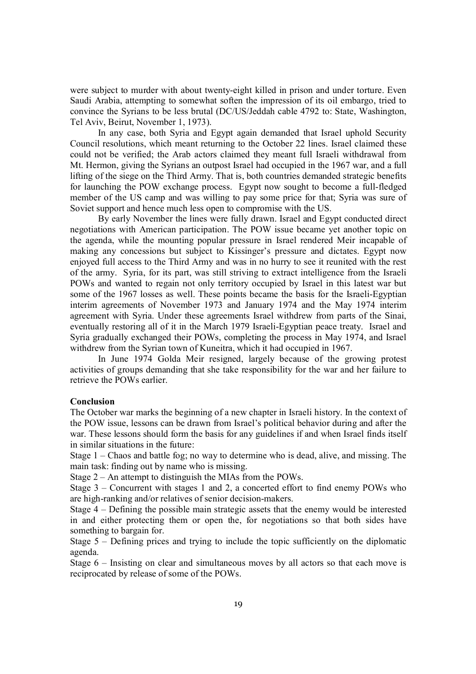were subject to murder with about twenty-eight killed in prison and under torture. Even Saudi Arabia, attempting to somewhat soften the impression of its oil embargo, tried to convince the Syrians to be less brutal (DC/US/Jeddah cable 4792 to: State, Washington, Tel Aviv, Beirut, November 1, 1973).

In any case, both Syria and Egypt again demanded that Israel uphold Security Council resolutions, which meant returning to the October 22 lines. Israel claimed these could not be verified; the Arab actors claimed they meant full Israeli withdrawal from Mt. Hermon, giving the Syrians an outpost Israel had occupied in the 1967 war, and a full lifting of the siege on the Third Army. That is, both countries demanded strategic benefits for launching the POW exchange process. Egypt now sought to become a full-fledged member of the US camp and was willing to pay some price for that; Syria was sure of Soviet support and hence much less open to compromise with the US.

By early November the lines were fully drawn. Israel and Egypt conducted direct negotiations with American participation. The POW issue became yet another topic on the agenda, while the mounting popular pressure in Israel rendered Meir incapable of making any concessions but subject to Kissinger's pressure and dictates. Egypt now enjoyed full access to the Third Army and was in no hurry to see it reunited with the rest of the army. Syria, for its part, was still striving to extract intelligence from the Israeli POWs and wanted to regain not only territory occupied by Israel in this latest war but some of the 1967 losses as well. These points became the basis for the Israeli-Egyptian interim agreements of November 1973 and January 1974 and the May 1974 interim agreement with Syria. Under these agreements Israel withdrew from parts of the Sinai, eventually restoring all of it in the March 1979 Israeli-Egyptian peace treaty. Israel and Syria gradually exchanged their POWs, completing the process in May 1974, and Israel withdrew from the Syrian town of Kuneitra, which it had occupied in 1967.

In June 1974 Golda Meir resigned, largely because of the growing protest activities of groups demanding that she take responsibility for the war and her failure to retrieve the POWs earlier.

#### **Conclusion**

The October war marks the beginning of a new chapter in Israeli history. In the context of the POW issue, lessons can be drawn from Israel's political behavior during and after the war. These lessons should form the basis for any guidelines if and when Israel finds itself in similar situations in the future:

Stage 1 – Chaos and battle fog; no way to determine who is dead, alive, and missing. The main task: finding out by name who is missing.

Stage 2 – An attempt to distinguish the MIAs from the POWs.

Stage 3 – Concurrent with stages 1 and 2, a concerted effort to find enemy POWs who are high-ranking and/or relatives of senior decision-makers.

Stage 4 – Defining the possible main strategic assets that the enemy would be interested in and either protecting them or open the, for negotiations so that both sides have something to bargain for.

Stage 5 – Defining prices and trying to include the topic sufficiently on the diplomatic agenda.

Stage 6 – Insisting on clear and simultaneous moves by all actors so that each move is reciprocated by release of some of the POWs.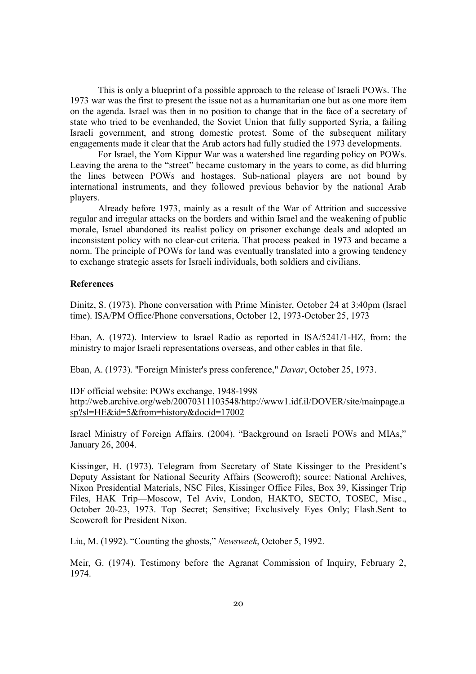This is only a blueprint of a possible approach to the release of Israeli POWs. The 1973 war was the first to present the issue not as a humanitarian one but as one more item on the agenda. Israel was then in no position to change that in the face of a secretary of state who tried to be evenhanded, the Soviet Union that fully supported Syria, a failing Israeli government, and strong domestic protest. Some of the subsequent military engagements made it clear that the Arab actors had fully studied the 1973 developments.

For Israel, the Yom Kippur War was a watershed line regarding policy on POWs. Leaving the arena to the "street" became customary in the years to come, as did blurring the lines between POWs and hostages. Sub-national players are not bound by international instruments, and they followed previous behavior by the national Arab players.

Already before 1973, mainly as a result of the War of Attrition and successive regular and irregular attacks on the borders and within Israel and the weakening of public morale, Israel abandoned its realist policy on prisoner exchange deals and adopted an inconsistent policy with no clear-cut criteria. That process peaked in 1973 and became a norm. The principle of POWs for land was eventually translated into a growing tendency to exchange strategic assets for Israeli individuals, both soldiers and civilians.

## **References**

Dinitz, S. (1973). Phone conversation with Prime Minister, October 24 at 3:40pm (Israel time). ISA/PM Office/Phone conversations, October 12, 1973-October 25, 1973

Eban, A. (1972). Interview to Israel Radio as reported in ISA/5241/1-HZ, from: the ministry to major Israeli representations overseas, and other cables in that file.

Eban, A. (1973). "Foreign Minister's press conference," *Davar*, October 25, 1973.

# IDF official website: POWs exchange, 1948-1998

http://web.archive.org/web/20070311103548/http://www1.idf.il/DOVER/site/mainpage.a sp?sl=HE&id=5&from=history&docid=17002

Israel Ministry of Foreign Affairs. (2004). "Background on Israeli POWs and MIAs," January 26, 2004.

Kissinger, H. (1973). Telegram from Secretary of State Kissinger to the President's Deputy Assistant for National Security Affairs (Scowcroft); source: National Archives, Nixon Presidential Materials, NSC Files, Kissinger Office Files, Box 39, Kissinger Trip Files, HAK Trip—Moscow, Tel Aviv, London, HAKTO, SECTO, TOSEC, Misc., October 20-23, 1973. Top Secret; Sensitive; Exclusively Eyes Only; Flash.Sent to Scowcroft for President Nixon.

Liu, M. (1992). "Counting the ghosts," *Newsweek*, October 5, 1992.

Meir, G. (1974). Testimony before the Agranat Commission of Inquiry, February 2, 1974.